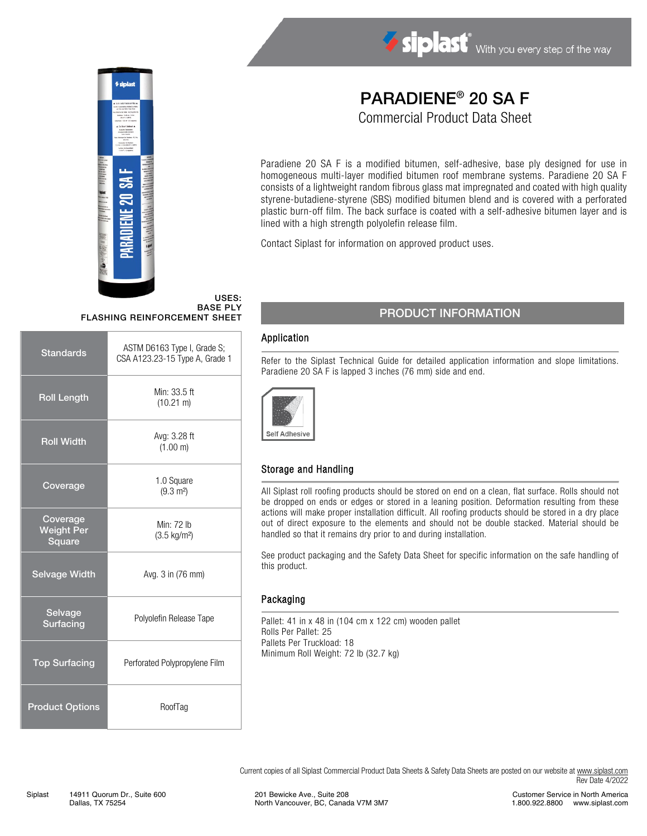

# Siplast With you every step of the way

# PARADIENE® 20 SA F

Commercial Product Data Sheet

Paradiene 20 SA F is a modified bitumen, self-adhesive, base ply designed for use in homogeneous multi-layer modified bitumen roof membrane systems. Paradiene 20 SA F consists of a lightweight random fibrous glass mat impregnated and coated with high quality styrene-butadiene-styrene (SBS) modified bitumen blend and is covered with a perforated plastic burn-off film. The back surface is coated with a self-adhesive bitumen layer and is lined with a high strength polyolefin release film.

Contact Siplast for information on approved product uses.

#### USES: BASE PLY FLASHING REINFORCEMENT SHEET

| <b>Standards</b>                        | ASTM D6163 Type I, Grade S;<br>CSA A123.23-15 Type A, Grade 1 |  |
|-----------------------------------------|---------------------------------------------------------------|--|
| <b>Roll Length</b>                      | Min: 33.5 ft<br>$(10.21 \text{ m})$                           |  |
| <b>Roll Width</b>                       | Avg: 3.28 ft<br>(1.00 m)                                      |  |
| Coverage                                | 1.0 Square<br>$(9.3 \text{ m}^2)$                             |  |
| Coverage<br><b>Weight Per</b><br>Square | Min: 72 lb<br>$(3.5 \text{ kg/m}^2)$                          |  |
| <b>Selvage Width</b>                    | Avg. 3 in (76 mm)                                             |  |
| Selvage<br><b>Surfacing</b>             | Polyolefin Release Tape                                       |  |
| <b>Top Surfacing</b>                    | Perforated Polypropylene Film                                 |  |
| <b>Product Options</b>                  | RoofTag                                                       |  |

### PRODUCT INFORMATION

#### Application

Refer to the Siplast Technical Guide for detailed application information and slope limitations. Paradiene 20 SA F is lapped 3 inches (76 mm) side and end.



#### Storage and Handling

All Siplast roll roofing products should be stored on end on a clean, flat surface. Rolls should not be dropped on ends or edges or stored in a leaning position. Deformation resulting from these actions will make proper installation difficult. All roofing products should be stored in a dry place out of direct exposure to the elements and should not be double stacked. Material should be handled so that it remains dry prior to and during installation.

See product packaging and the Safety Data Sheet for specific information on the safe handling of this product.

#### Packaging

Pallet: 41 in x 48 in (104 cm x 122 cm) wooden pallet Rolls Per Pallet: 25 Pallets Per Truckload: 18 Minimum Roll Weight: 72 lb (32.7 kg)

Current copies of all Siplast Commercial Product Data Sheets & Safety Data Sheets are posted on our website a[t www.siplast.com](http://www.siplast.com/) Rev Date 4/2022